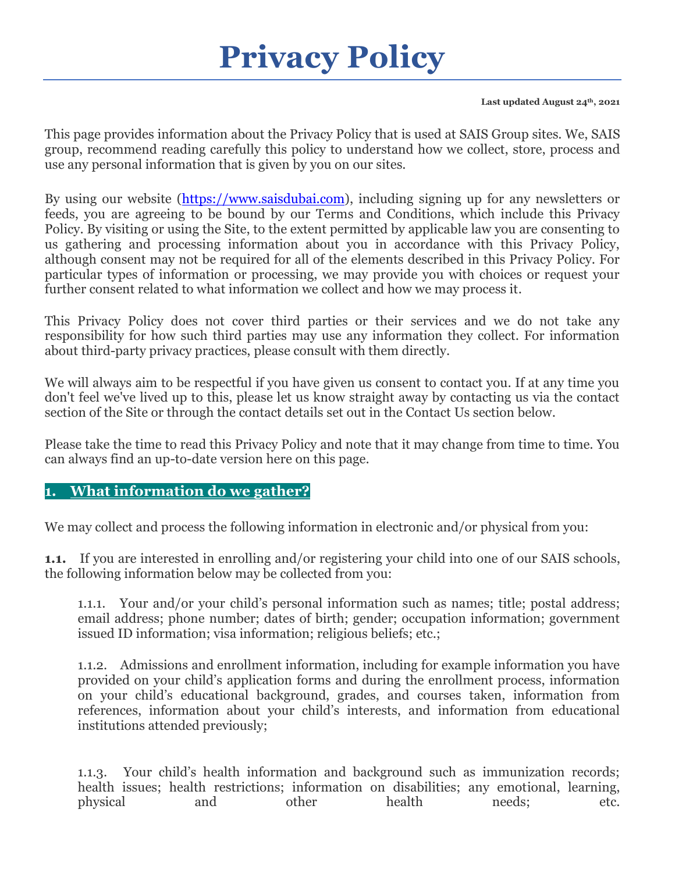# **Privacy Policy**

#### **Last updated August 24th, 2021**

This page provides information about the Privacy Policy that is used at SAIS Group sites. We, SAIS group, recommend reading carefully this policy to understand how we collect, store, process and use any personal information that is given by you on our sites.

By using our website [\(https://www.saisdubai.com\)](https://www.saisdubai.com/), including signing up for any newsletters or feeds, you are agreeing to be bound by our Terms and Conditions, which include this Privacy Policy. By visiting or using the Site, to the extent permitted by applicable law you are consenting to us gathering and processing information about you in accordance with this Privacy Policy, although consent may not be required for all of the elements described in this Privacy Policy. For particular types of information or processing, we may provide you with choices or request your further consent related to what information we collect and how we may process it.

This Privacy Policy does not cover third parties or their services and we do not take any responsibility for how such third parties may use any information they collect. For information about third-party privacy practices, please consult with them directly.

We will always aim to be respectful if you have given us consent to contact you. If at any time you don't feel we've lived up to this, please let us know straight away by contacting us via the contact section of the Site or through the contact details set out in the Contact Us section below.

Please take the time to read this Privacy Policy and note that it may change from time to time. You can always find an up-to-date version here on this page.

#### **1. What information do we gather?**

We may collect and process the following information in electronic and/or physical from you:

**1.1.** If you are interested in enrolling and/or registering your child into one of our SAIS schools, the following information below may be collected from you:

1.1.1. Your and/or your child's personal information such as names; title; postal address; email address; phone number; dates of birth; gender; occupation information; government issued ID information; visa information; religious beliefs; etc.;

1.1.2. Admissions and enrollment information, including for example information you have provided on your child's application forms and during the enrollment process, information on your child's educational background, grades, and courses taken, information from references, information about your child's interests, and information from educational institutions attended previously;

1.1.3. Your child's health information and background such as immunization records; health issues; health restrictions; information on disabilities; any emotional, learning, physical and other health needs; etc.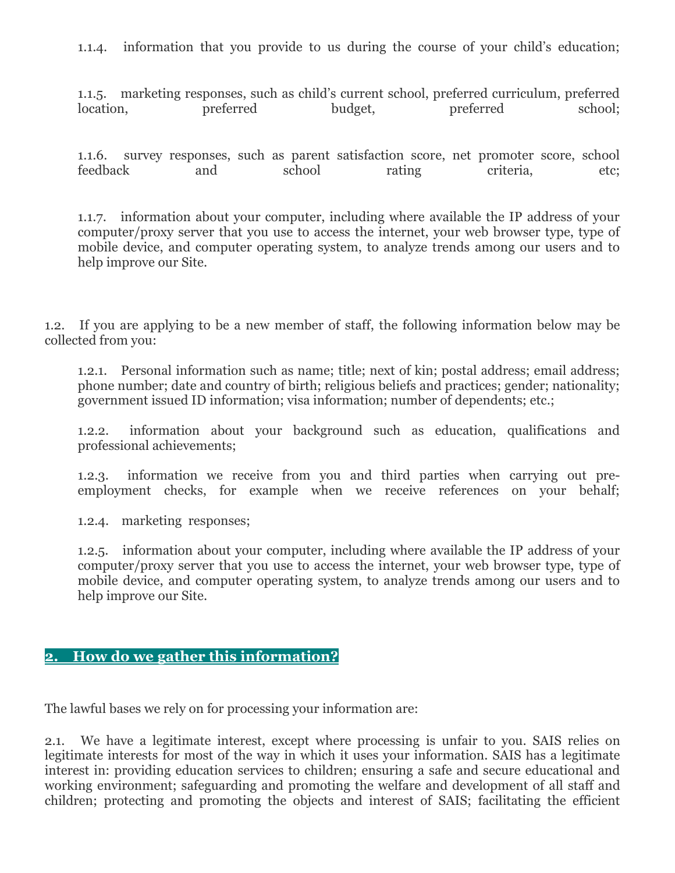1.1.4. information that you provide to us during the course of your child's education;

1.1.5. marketing responses, such as child's current school, preferred curriculum, preferred location, preferred budget, preferred school;

1.1.6. survey responses, such as parent satisfaction score, net promoter score, school feedback and school rating criteria, etc;

1.1.7. information about your computer, including where available the IP address of your computer/proxy server that you use to access the internet, your web browser type, type of mobile device, and computer operating system, to analyze trends among our users and to help improve our Site.

1.2. If you are applying to be a new member of staff, the following information below may be collected from you:

1.2.1. Personal information such as name; title; next of kin; postal address; email address; phone number; date and country of birth; religious beliefs and practices; gender; nationality; government issued ID information; visa information; number of dependents; etc.;

1.2.2. information about your background such as education, qualifications and professional achievements;

1.2.3. information we receive from you and third parties when carrying out preemployment checks, for example when we receive references on your behalf;

1.2.4. marketing responses;

1.2.5. information about your computer, including where available the IP address of your computer/proxy server that you use to access the internet, your web browser type, type of mobile device, and computer operating system, to analyze trends among our users and to help improve our Site.

#### **2. How do we gather this information?**

The lawful bases we rely on for processing your information are:

2.1. We have a legitimate interest, except where processing is unfair to you. SAIS relies on legitimate interests for most of the way in which it uses your information. SAIS has a legitimate interest in: providing education services to children; ensuring a safe and secure educational and working environment; safeguarding and promoting the welfare and development of all staff and children; protecting and promoting the objects and interest of SAIS; facilitating the efficient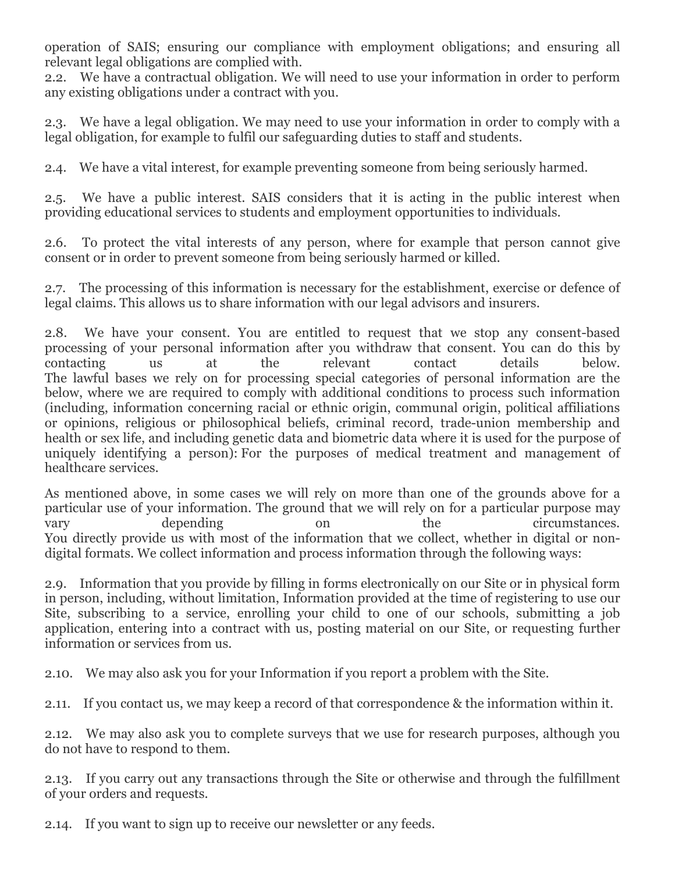operation of SAIS; ensuring our compliance with employment obligations; and ensuring all relevant legal obligations are complied with.

2.2. We have a contractual obligation. We will need to use your information in order to perform any existing obligations under a contract with you.

2.3. We have a legal obligation. We may need to use your information in order to comply with a legal obligation, for example to fulfil our safeguarding duties to staff and students.

2.4. We have a vital interest, for example preventing someone from being seriously harmed.

2.5. We have a public interest. SAIS considers that it is acting in the public interest when providing educational services to students and employment opportunities to individuals.

2.6. To protect the vital interests of any person, where for example that person cannot give consent or in order to prevent someone from being seriously harmed or killed.

2.7. The processing of this information is necessary for the establishment, exercise or defence of legal claims. This allows us to share information with our legal advisors and insurers.

2.8. We have your consent. You are entitled to request that we stop any consent-based processing of your personal information after you withdraw that consent. You can do this by contacting us at the relevant contact details below. The lawful bases we rely on for processing special categories of personal information are the below, where we are required to comply with additional conditions to process such information (including, information concerning racial or ethnic origin, communal origin, political affiliations or opinions, religious or philosophical beliefs, criminal record, trade-union membership and health or sex life, and including genetic data and biometric data where it is used for the purpose of uniquely identifying a person): For the purposes of medical treatment and management of healthcare services.

As mentioned above, in some cases we will rely on more than one of the grounds above for a particular use of your information. The ground that we will rely on for a particular purpose may vary depending on the circumstances. You directly provide us with most of the information that we collect, whether in digital or nondigital formats. We collect information and process information through the following ways:

2.9. Information that you provide by filling in forms electronically on our Site or in physical form in person, including, without limitation, Information provided at the time of registering to use our Site, subscribing to a service, enrolling your child to one of our schools, submitting a job application, entering into a contract with us, posting material on our Site, or requesting further information or services from us.

2.10. We may also ask you for your Information if you report a problem with the Site.

2.11. If you contact us, we may keep a record of that correspondence & the information within it.

2.12. We may also ask you to complete surveys that we use for research purposes, although you do not have to respond to them.

2.13. If you carry out any transactions through the Site or otherwise and through the fulfillment of your orders and requests.

2.14. If you want to sign up to receive our newsletter or any feeds.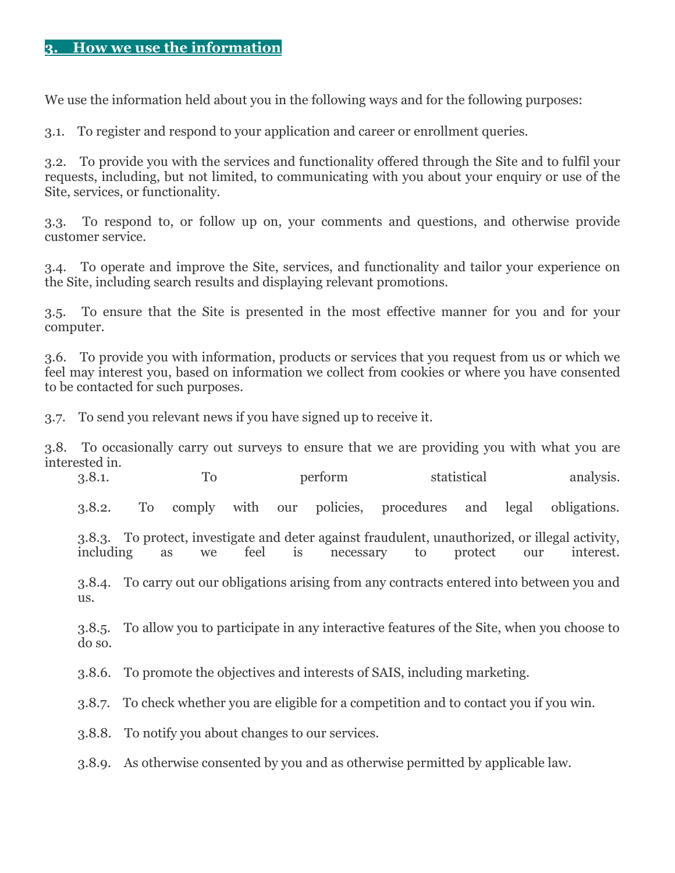We use the information held about you in the following ways and for the following purposes:

3.1. To register and respond to your application and career or enrollment queries.

3.2. To provide you with the services and functionality offered through the Site and to fulfil your requests, including, but not limited, to communicating with you about your enquiry or use of the Site, services, or functionality.

3.3. To respond to, or follow up on, your comments and questions, and otherwise provide customer service.

3.4. To operate and improve the Site, services, and functionality and tailor your experience on the Site, including search results and displaying relevant promotions.

3.5. To ensure that the Site is presented in the most effective manner for you and for your computer.

3.6. To provide you with information, products or services that you request from us or which we feel may interest you, based on information we collect from cookies or where you have consented to be contacted for such purposes.

3.7. To send you relevant news if you have signed up to receive it.

3.8. To occasionally carry out surveys to ensure that we are providing you with what you are interested in.

3.8.1. To perform statistical analysis.

3.8.2. To comply with our policies, procedures and legal obligations.

3.8.3. To protect, investigate and deter against fraudulent, unauthorized, or illegal activity, including as we feel is necessary to protect our interest.

3.8.4. To carry out our obligations arising from any contracts entered into between you and us.

3.8.5. To allow you to participate in any interactive features of the Site, when you choose to do so.

3.8.6. To promote the objectives and interests of SAIS, including marketing.

3.8.7. To check whether you are eligible for a competition and to contact you if you win.

3.8.8. To notify you about changes to our services.

3.8.9. As otherwise consented by you and as otherwise permitted by applicable law.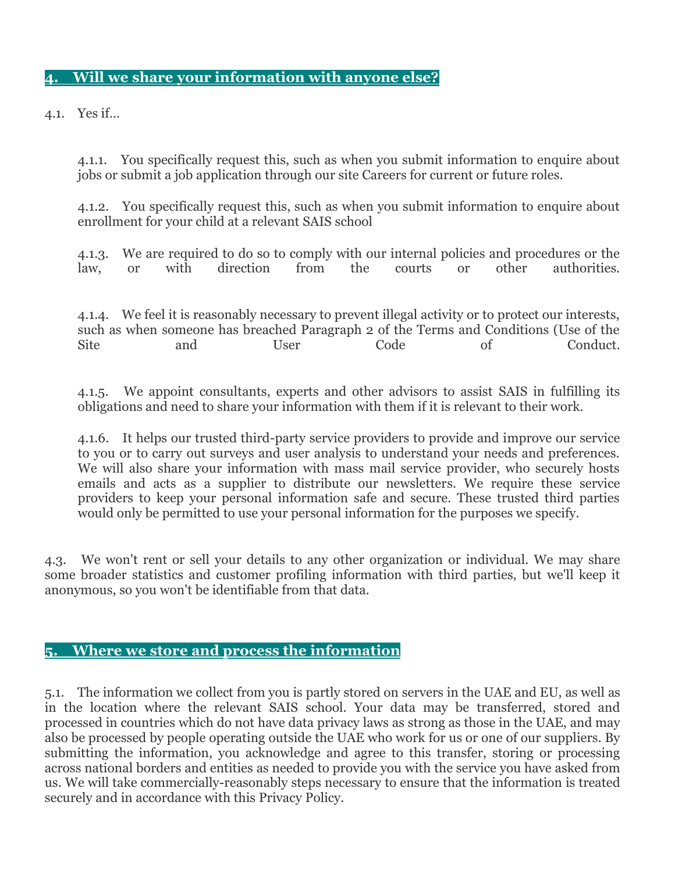## **4. Will we share your information with anyone else?**

4.1. Yes if…

4.1.1. You specifically request this, such as when you submit information to enquire about jobs or submit a job application through our site Careers for current or future roles.

4.1.2. You specifically request this, such as when you submit information to enquire about enrollment for your child at a relevant SAIS school

4.1.3. We are required to do so to comply with our internal policies and procedures or the law, or with direction from the courts or other authorities.

4.1.4. We feel it is reasonably necessary to prevent illegal activity or to protect our interests, such as when someone has breached Paragraph 2 of the Terms and Conditions (Use of the Site and User Code of Conduct.

4.1.5. We appoint consultants, experts and other advisors to assist SAIS in fulfilling its obligations and need to share your information with them if it is relevant to their work.

4.1.6. It helps our trusted third-party service providers to provide and improve our service to you or to carry out surveys and user analysis to understand your needs and preferences. We will also share your information with mass mail service provider, who securely hosts emails and acts as a supplier to distribute our newsletters. We require these service providers to keep your personal information safe and secure. These trusted third parties would only be permitted to use your personal information for the purposes we specify.

4.3. We won't rent or sell your details to any other organization or individual. We may share some broader statistics and customer profiling information with third parties, but we'll keep it anonymous, so you won't be identifiable from that data.

#### **5. Where we store and process the information**

5.1. The information we collect from you is partly stored on servers in the UAE and EU, as well as in the location where the relevant SAIS school. Your data may be transferred, stored and processed in countries which do not have data privacy laws as strong as those in the UAE, and may also be processed by people operating outside the UAE who work for us or one of our suppliers. By submitting the information, you acknowledge and agree to this transfer, storing or processing across national borders and entities as needed to provide you with the service you have asked from us. We will take commercially-reasonably steps necessary to ensure that the information is treated securely and in accordance with this Privacy Policy.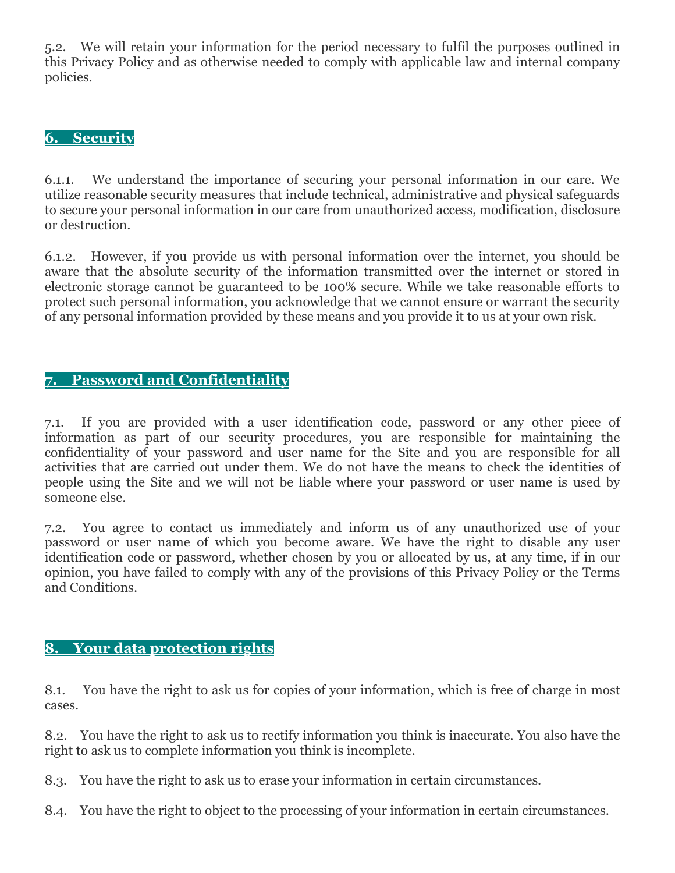5.2. We will retain your information for the period necessary to fulfil the purposes outlined in this Privacy Policy and as otherwise needed to comply with applicable law and internal company policies.

## **6. Security**

6.1.1. We understand the importance of securing your personal information in our care. We utilize reasonable security measures that include technical, administrative and physical safeguards to secure your personal information in our care from unauthorized access, modification, disclosure or destruction.

6.1.2. However, if you provide us with personal information over the internet, you should be aware that the absolute security of the information transmitted over the internet or stored in electronic storage cannot be guaranteed to be 100% secure. While we take reasonable efforts to protect such personal information, you acknowledge that we cannot ensure or warrant the security of any personal information provided by these means and you provide it to us at your own risk.

## **7. Password and Confidentiality**

7.1. If you are provided with a user identification code, password or any other piece of information as part of our security procedures, you are responsible for maintaining the confidentiality of your password and user name for the Site and you are responsible for all activities that are carried out under them. We do not have the means to check the identities of people using the Site and we will not be liable where your password or user name is used by someone else.

7.2. You agree to contact us immediately and inform us of any unauthorized use of your password or user name of which you become aware. We have the right to disable any user identification code or password, whether chosen by you or allocated by us, at any time, if in our opinion, you have failed to comply with any of the provisions of this Privacy Policy or the Terms and Conditions.

## **8. Your data protection rights**

8.1. You have the right to ask us for copies of your information, which is free of charge in most cases.

8.2. You have the right to ask us to rectify information you think is inaccurate. You also have the right to ask us to complete information you think is incomplete.

8.3. You have the right to ask us to erase your information in certain circumstances.

8.4. You have the right to object to the processing of your information in certain circumstances.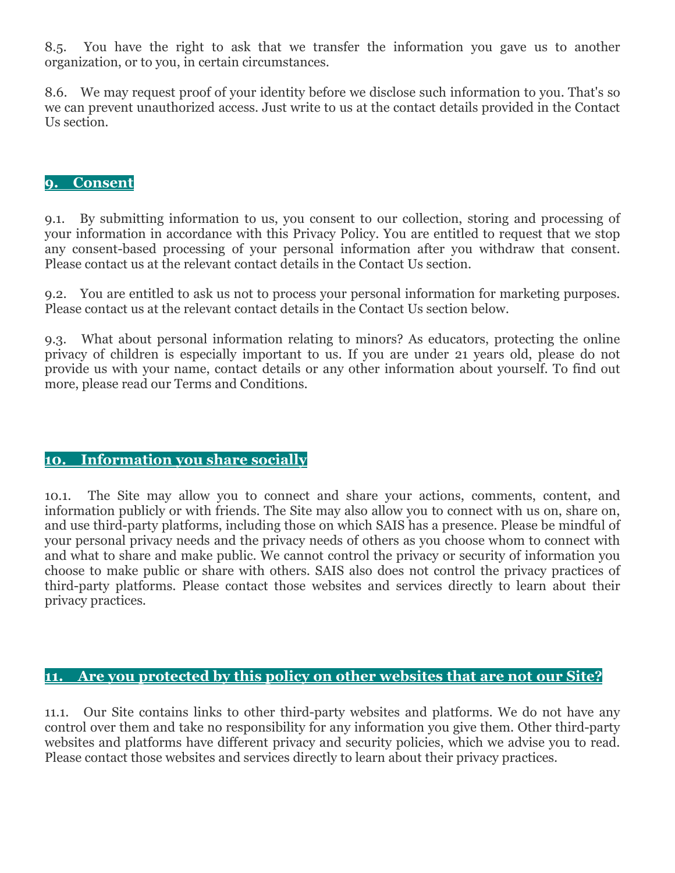8.5. You have the right to ask that we transfer the information you gave us to another organization, or to you, in certain circumstances.

8.6. We may request proof of your identity before we disclose such information to you. That's so we can prevent unauthorized access. Just write to us at the contact details provided in the Contact Us section.

## **9. Consent**

9.1. By submitting information to us, you consent to our collection, storing and processing of your information in accordance with this Privacy Policy. You are entitled to request that we stop any consent-based processing of your personal information after you withdraw that consent. Please contact us at the relevant contact details in the Contact Us section.

9.2. You are entitled to ask us not to process your personal information for marketing purposes. Please contact us at the relevant contact details in the Contact Us section below.

9.3. What about personal information relating to minors? As educators, protecting the online privacy of children is especially important to us. If you are under 21 years old, please do not provide us with your name, contact details or any other information about yourself. To find out more, please read our Terms and Conditions.

## **10. Information you share socially**

10.1. The Site may allow you to connect and share your actions, comments, content, and information publicly or with friends. The Site may also allow you to connect with us on, share on, and use third-party platforms, including those on which SAIS has a presence. Please be mindful of your personal privacy needs and the privacy needs of others as you choose whom to connect with and what to share and make public. We cannot control the privacy or security of information you choose to make public or share with others. SAIS also does not control the privacy practices of third-party platforms. Please contact those websites and services directly to learn about their privacy practices.

## **11. Are you protected by this policy on other websites that are not our Site?**

11.1. Our Site contains links to other third-party websites and platforms. We do not have any control over them and take no responsibility for any information you give them. Other third-party websites and platforms have different privacy and security policies, which we advise you to read. Please contact those websites and services directly to learn about their privacy practices.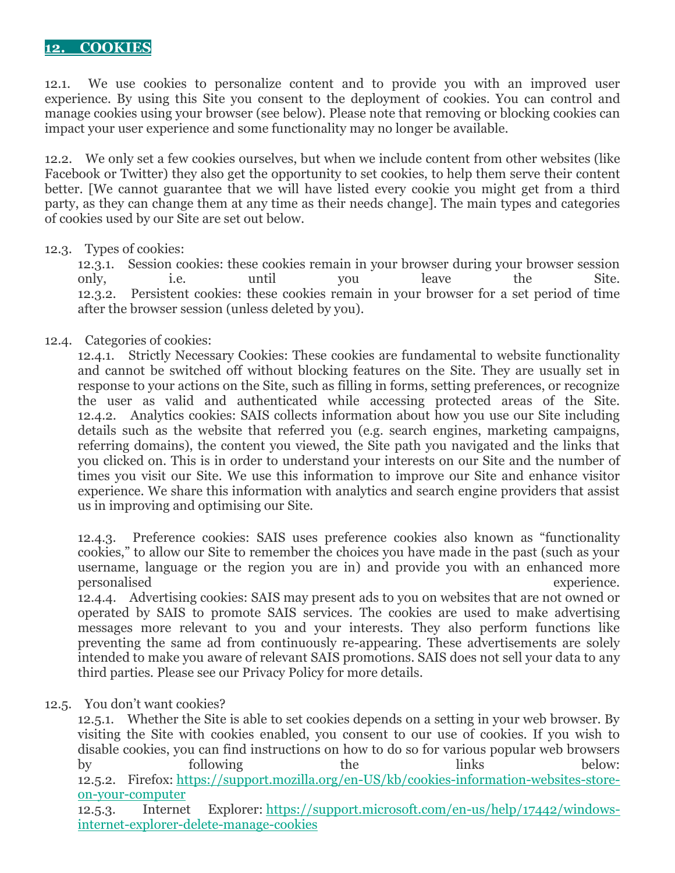#### **12. COOKIES**

12.1. We use cookies to personalize content and to provide you with an improved user experience. By using this Site you consent to the deployment of cookies. You can control and manage cookies using your browser (see below). Please note that removing or blocking cookies can impact your user experience and some functionality may no longer be available.

12.2. We only set a few cookies ourselves, but when we include content from other websites (like Facebook or Twitter) they also get the opportunity to set cookies, to help them serve their content better. [We cannot guarantee that we will have listed every cookie you might get from a third party, as they can change them at any time as their needs change]. The main types and categories of cookies used by our Site are set out below.

#### 12.3. Types of cookies:

12.3.1. Session cookies: these cookies remain in your browser during your browser session only, i.e. until you leave the Site. 12.3.2. Persistent cookies: these cookies remain in your browser for a set period of time after the browser session (unless deleted by you).

#### 12.4. Categories of cookies:

12.4.1. Strictly Necessary Cookies: These cookies are fundamental to website functionality and cannot be switched off without blocking features on the Site. They are usually set in response to your actions on the Site, such as filling in forms, setting preferences, or recognize the user as valid and authenticated while accessing protected areas of the Site. 12.4.2. Analytics cookies: SAIS collects information about how you use our Site including details such as the website that referred you (e.g. search engines, marketing campaigns, referring domains), the content you viewed, the Site path you navigated and the links that you clicked on. This is in order to understand your interests on our Site and the number of times you visit our Site. We use this information to improve our Site and enhance visitor experience. We share this information with analytics and search engine providers that assist us in improving and optimising our Site.

12.4.3. Preference cookies: SAIS uses preference cookies also known as "functionality cookies," to allow our Site to remember the choices you have made in the past (such as your username, language or the region you are in) and provide you with an enhanced more personalised experience.

12.4.4. Advertising cookies: SAIS may present ads to you on websites that are not owned or operated by SAIS to promote SAIS services. The cookies are used to make advertising messages more relevant to you and your interests. They also perform functions like preventing the same ad from continuously re-appearing. These advertisements are solely intended to make you aware of relevant SAIS promotions. SAIS does not sell your data to any third parties. Please see our Privacy Policy for more details.

#### 12.5. You don't want cookies?

12.5.1. Whether the Site is able to set cookies depends on a setting in your web browser. By visiting the Site with cookies enabled, you consent to our use of cookies. If you wish to disable cookies, you can find instructions on how to do so for various popular web browsers by following the links below: 12.5.2. Firefox: [https://support.mozilla.org/en-US/kb/cookies-information-websites-store](https://support.mozilla.org/en-US/kb/cookies-information-websites-store-on-your-computer)[on-your-computer](https://support.mozilla.org/en-US/kb/cookies-information-websites-store-on-your-computer)

12.5.3. Internet Explorer: [https://support.microsoft.com/en-us/help/17442/windows](https://support.microsoft.com/en-us/help/17442/windows-internet-explorer-delete-manage-cookies)[internet-explorer-delete-manage-cookies](https://support.microsoft.com/en-us/help/17442/windows-internet-explorer-delete-manage-cookies)